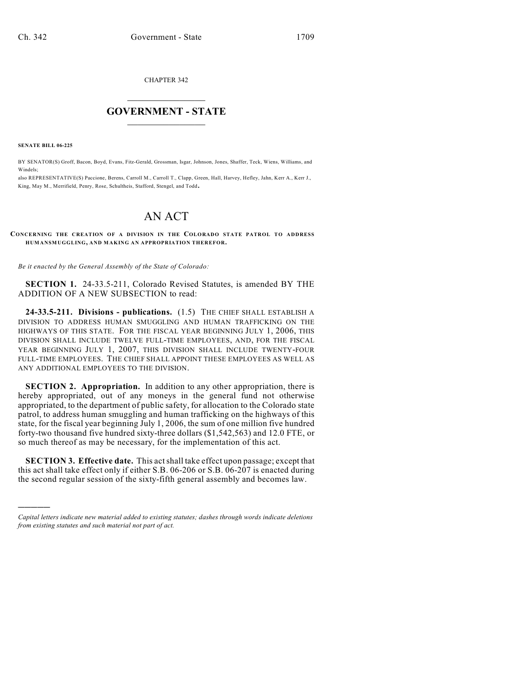CHAPTER 342

## $\overline{\phantom{a}}$  . The set of the set of the set of the set of the set of the set of the set of the set of the set of the set of the set of the set of the set of the set of the set of the set of the set of the set of the set o **GOVERNMENT - STATE**  $\_$

**SENATE BILL 06-225**

)))))

BY SENATOR(S) Groff, Bacon, Boyd, Evans, Fitz-Gerald, Grossman, Isgar, Johnson, Jones, Shaffer, Teck, Wiens, Williams, and Windels;

also REPRESENTATIVE(S) Paccione, Berens, Carroll M., Carroll T., Clapp, Green, Hall, Harvey, Hefley, Jahn, Kerr A., Kerr J., King, May M., Merrifield, Penry, Rose, Schultheis, Stafford, Stengel, and Todd.

## AN ACT

## **CONCERNING THE CREATION OF A DIVISION IN THE COLORADO STATE PATROL TO ADDRESS HUMANSMUGGLING, AND MAKING AN APPROPRIATION THEREFOR.**

*Be it enacted by the General Assembly of the State of Colorado:*

**SECTION 1.** 24-33.5-211, Colorado Revised Statutes, is amended BY THE ADDITION OF A NEW SUBSECTION to read:

**24-33.5-211. Divisions - publications.** (1.5) THE CHIEF SHALL ESTABLISH A DIVISION TO ADDRESS HUMAN SMUGGLING AND HUMAN TRAFFICKING ON THE HIGHWAYS OF THIS STATE. FOR THE FISCAL YEAR BEGINNING JULY 1, 2006, THIS DIVISION SHALL INCLUDE TWELVE FULL-TIME EMPLOYEES, AND, FOR THE FISCAL YEAR BEGINNING JULY 1, 2007, THIS DIVISION SHALL INCLUDE TWENTY-FOUR FULL-TIME EMPLOYEES. THE CHIEF SHALL APPOINT THESE EMPLOYEES AS WELL AS ANY ADDITIONAL EMPLOYEES TO THE DIVISION.

**SECTION 2. Appropriation.** In addition to any other appropriation, there is hereby appropriated, out of any moneys in the general fund not otherwise appropriated, to the department of public safety, for allocation to the Colorado state patrol, to address human smuggling and human trafficking on the highways of this state, for the fiscal year beginning July 1, 2006, the sum of one million five hundred forty-two thousand five hundred sixty-three dollars (\$1,542,563) and 12.0 FTE, or so much thereof as may be necessary, for the implementation of this act.

**SECTION 3. Effective date.** This actshall take effect upon passage; except that this act shall take effect only if either S.B. 06-206 or S.B. 06-207 is enacted during the second regular session of the sixty-fifth general assembly and becomes law.

*Capital letters indicate new material added to existing statutes; dashes through words indicate deletions from existing statutes and such material not part of act.*